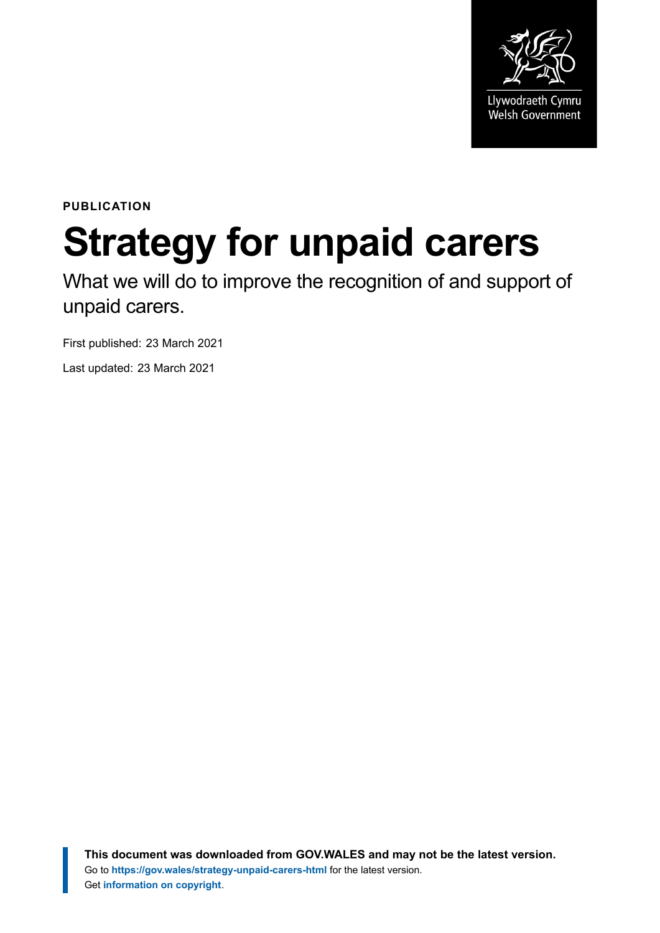

**PUBLICATION**

# **Strategy for unpaid carers**

What we will do to improve the recognition of and support of unpaid carers.

First published: 23 March 2021

Last updated: 23 March 2021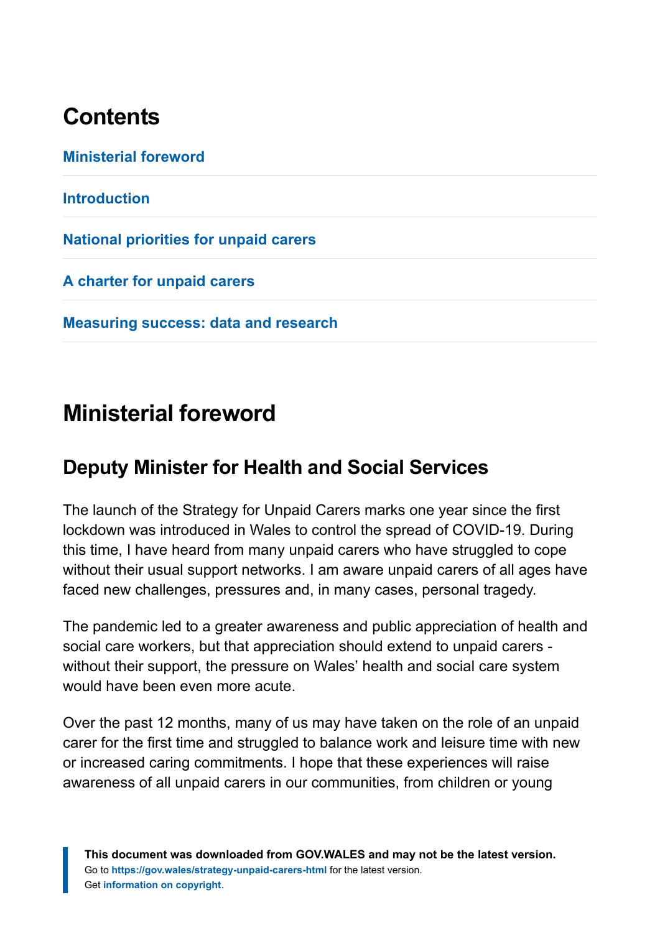# **Contents**

**[Ministerial foreword](#page-1-0) [Introduction](#page-2-0) [National priorities for unpaid carers](#page-12-0) [A charter for unpaid carers](#page-24-0) [Measuring success: data and research](#page-25-0)**

# <span id="page-1-0"></span>**Ministerial foreword**

### **Deputy Minister for Health and Social Services**

The launch of the Strategy for Unpaid Carers marks one year since the first lockdown was introduced in Wales to control the spread of COVID-19. During this time, I have heard from many unpaid carers who have struggled to cope without their usual support networks. I am aware unpaid carers of all ages have faced new challenges, pressures and, in many cases, personal tragedy.

The pandemic led to a greater awareness and public appreciation of health and social care workers, but that appreciation should extend to unpaid carers without their support, the pressure on Wales' health and social care system would have been even more acute.

Over the past 12 months, many of us may have taken on the role of an unpaid carer for the first time and struggled to balance work and leisure time with new or increased caring commitments. I hope that these experiences will raise awareness of all unpaid carers in our communities, from children or young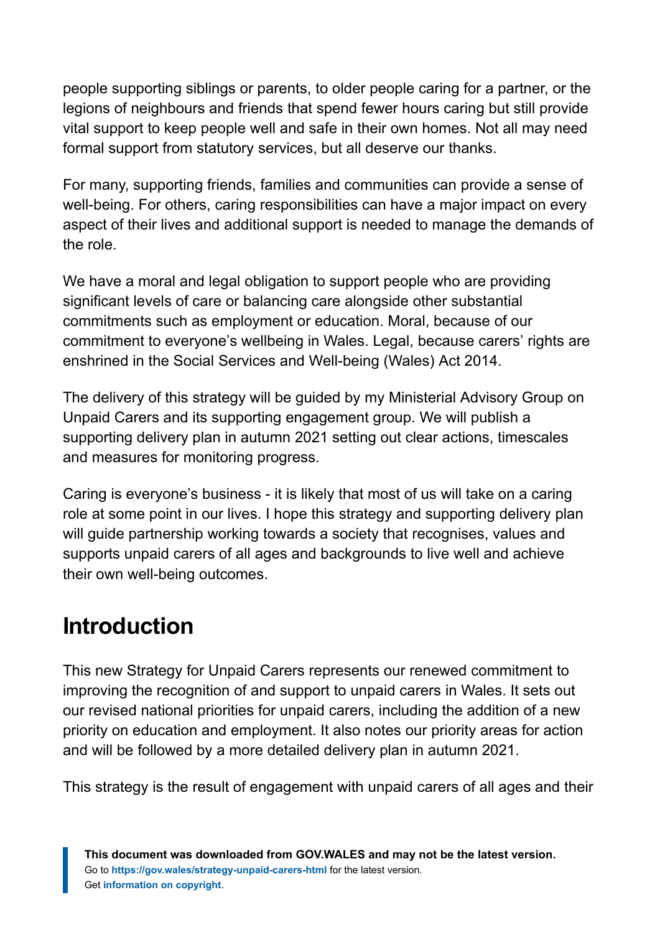people supporting siblings or parents, to older people caring for a partner, or the legions of neighbours and friends that spend fewer hours caring but still provide vital support to keep people well and safe in their own homes. Not all may need formal support from statutory services, but all deserve our thanks.

For many, supporting friends, families and communities can provide a sense of well-being. For others, caring responsibilities can have a major impact on every aspect of their lives and additional support is needed to manage the demands of the role.

We have a moral and legal obligation to support people who are providing significant levels of care or balancing care alongside other substantial commitments such as employment or education. Moral, because of our commitment to everyone's wellbeing in Wales. Legal, because carers' rights are enshrined in the Social Services and Well-being (Wales) Act 2014.

The delivery of this strategy will be guided by my Ministerial Advisory Group on Unpaid Carers and its supporting engagement group. We will publish a supporting delivery plan in autumn 2021 setting out clear actions, timescales and measures for monitoring progress.

Caring is everyone's business - it is likely that most of us will take on a caring role at some point in our lives. I hope this strategy and supporting delivery plan will guide partnership working towards a society that recognises, values and supports unpaid carers of all ages and backgrounds to live well and achieve their own well-being outcomes.

# <span id="page-2-0"></span>**Introduction**

This new Strategy for Unpaid Carers represents our renewed commitment to improving the recognition of and support to unpaid carers in Wales. It sets out our revised national priorities for unpaid carers, including the addition of a new priority on education and employment. It also notes our priority areas for action and will be followed by a more detailed delivery plan in autumn 2021.

This strategy is the result of engagement with unpaid carers of all ages and their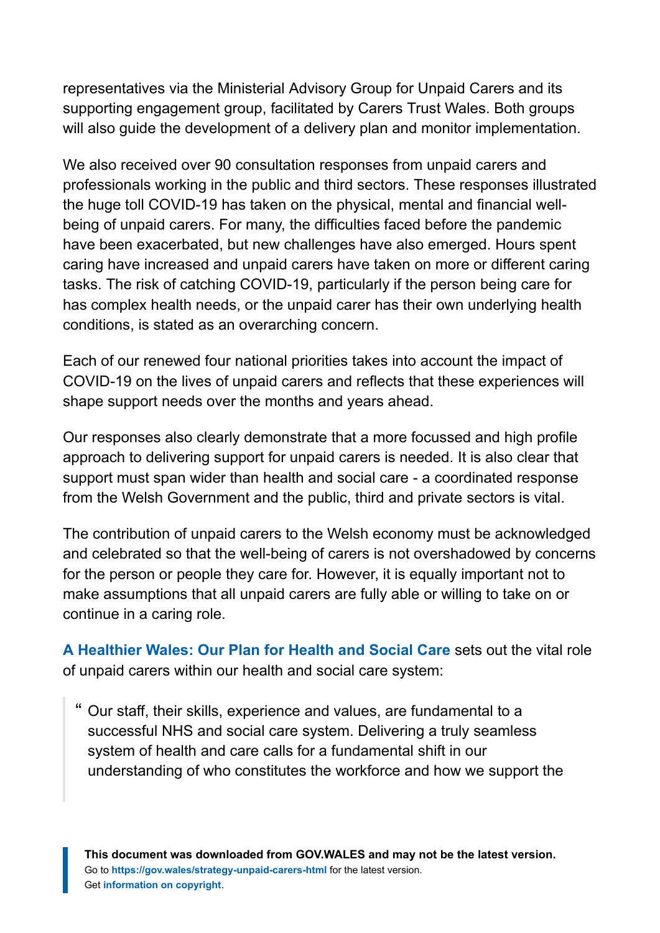representatives via the Ministerial Advisory Group for Unpaid Carers and its supporting engagement group, facilitated by Carers Trust Wales. Both groups will also guide the development of a delivery plan and monitor implementation.

We also received over 90 consultation responses from unpaid carers and professionals working in the public and third sectors. These responses illustrated the huge toll COVID-19 has taken on the physical, mental and financial wellbeing of unpaid carers. For many, the difficulties faced before the pandemic have been exacerbated, but new challenges have also emerged. Hours spent caring have increased and unpaid carers have taken on more or different caring tasks. The risk of catching COVID-19, particularly if the person being care for has complex health needs, or the unpaid carer has their own underlying health conditions, is stated as an overarching concern.

Each of our renewed four national priorities takes into account the impact of COVID-19 on the lives of unpaid carers and reflects that these experiences will shape support needs over the months and years ahead.

Our responses also clearly demonstrate that a more focussed and high profile approach to delivering support for unpaid carers is needed. It is also clear that support must span wider than health and social care - a coordinated response from the Welsh Government and the public, third and private sectors is vital.

The contribution of unpaid carers to the Welsh economy must be acknowledged and celebrated so that the well-being of carers is not overshadowed by concerns for the person or people they care for. However, it is equally important not to make assumptions that all unpaid carers are fully able or willing to take on or continue in a caring role.

**[A Healthier Wales: Our Plan for Health and Social Care](https://gov.wales/healthier-wales-long-term-plan-health-and-social-care)** sets out the vital role of unpaid carers within our health and social care system:

" Our staff, their skills, experience and values, are fundamental to a successful NHS and social care system. Delivering a truly seamless system of health and care calls for a fundamental shift in our understanding of who constitutes the workforce and how we support the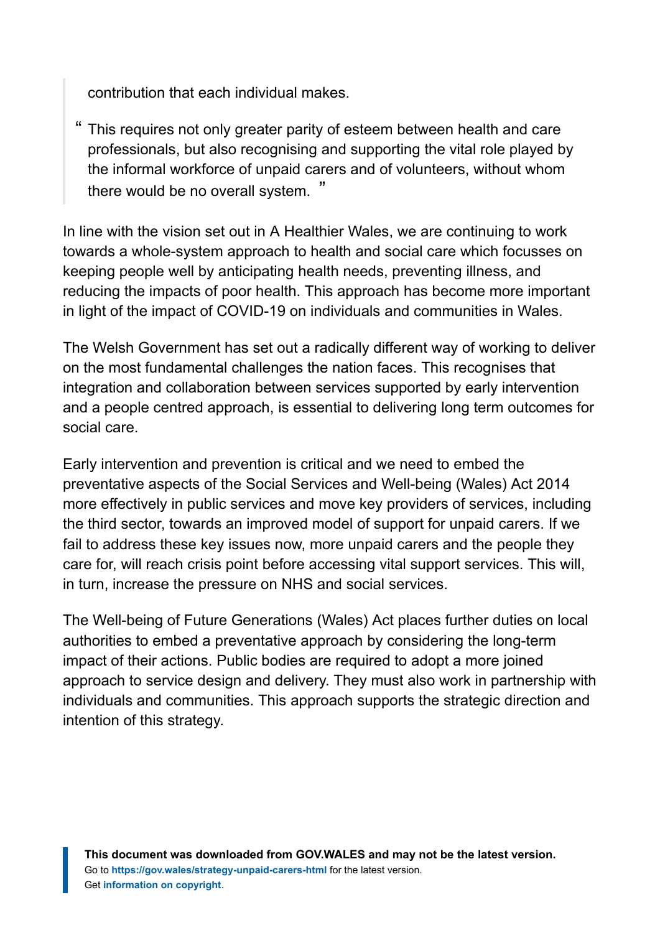contribution that each individual makes.

" This requires not only greater parity of esteem between health and care professionals, but also recognising and supporting the vital role played by the informal workforce of unpaid carers and of volunteers, without whom there would be no overall system. "

In line with the vision set out in A Healthier Wales, we are continuing to work towards a whole-system approach to health and social care which focusses on keeping people well by anticipating health needs, preventing illness, and reducing the impacts of poor health. This approach has become more important in light of the impact of COVID-19 on individuals and communities in Wales.

The Welsh Government has set out a radically different way of working to deliver on the most fundamental challenges the nation faces. This recognises that integration and collaboration between services supported by early intervention and a people centred approach, is essential to delivering long term outcomes for social care.

Early intervention and prevention is critical and we need to embed the preventative aspects of the Social Services and Well-being (Wales) Act 2014 more effectively in public services and move key providers of services, including the third sector, towards an improved model of support for unpaid carers. If we fail to address these key issues now, more unpaid carers and the people they care for, will reach crisis point before accessing vital support services. This will, in turn, increase the pressure on NHS and social services.

The Well-being of Future Generations (Wales) Act places further duties on local authorities to embed a preventative approach by considering the long-term impact of their actions. Public bodies are required to adopt a more joined approach to service design and delivery. They must also work in partnership with individuals and communities. This approach supports the strategic direction and intention of this strategy.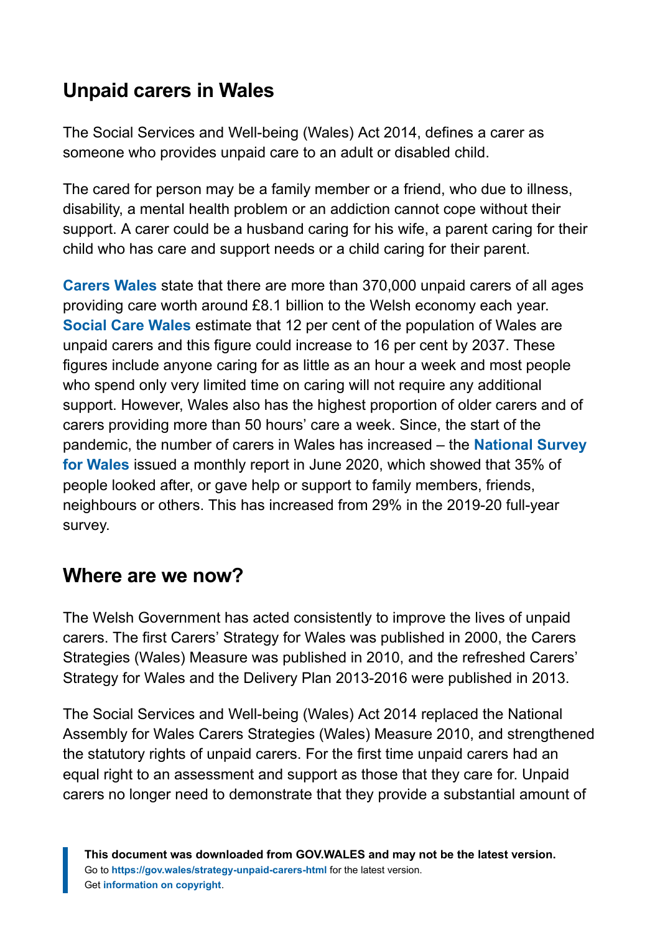## **Unpaid carers in Wales**

The Social Services and Well-being (Wales) Act 2014, defines a carer as someone who provides unpaid care to an adult or disabled child.

The cared for person may be a family member or a friend, who due to illness, disability, a mental health problem or an addiction cannot cope without their support. A carer could be a husband caring for his wife, a parent caring for their child who has care and support needs or a child caring for their parent.

**[Carers Wales](https://www.carersuk.org/wales/news-campaigns/news/unpaid-carers-in-wales-feel-demoralised-and-disillusioned)** state that there are more than 370,000 unpaid carers of all ages providing care worth around £8.1 billion to the Welsh economy each year. **[Social Care Wales](https://socialcare.wales/cms_assets/file-uploads/Preventative-support-for-adult-carers-in-Wales.pdf)** estimate that 12 per cent of the population of Wales are unpaid carers and this figure could increase to 16 per cent by 2037. These figures include anyone caring for as little as an hour a week and most people who spend only very limited time on caring will not require any additional support. However, Wales also has the highest proportion of older carers and of carers providing more than 50 hours' care a week. Since, the start of the pandemic, the number of carers in Wales has increased – the **[National Survey](https://gov.wales/national-survey-wales-monthly-survey-june-2020-html) [for Wales](https://gov.wales/national-survey-wales-monthly-survey-june-2020-html)** issued a monthly report in June 2020, which showed that 35% of people looked after, or gave help or support to family members, friends, neighbours or others. This has increased from 29% in the 2019-20 full-year survey.

### **Where are we now?**

The Welsh Government has acted consistently to improve the lives of unpaid carers. The first Carers' Strategy for Wales was published in 2000, the Carers Strategies (Wales) Measure was published in 2010, and the refreshed Carers' Strategy for Wales and the Delivery Plan 2013-2016 were published in 2013.

The Social Services and Well-being (Wales) Act 2014 replaced the National Assembly for Wales Carers Strategies (Wales) Measure 2010, and strengthened the statutory rights of unpaid carers. For the first time unpaid carers had an equal right to an assessment and support as those that they care for. Unpaid carers no longer need to demonstrate that they provide a substantial amount of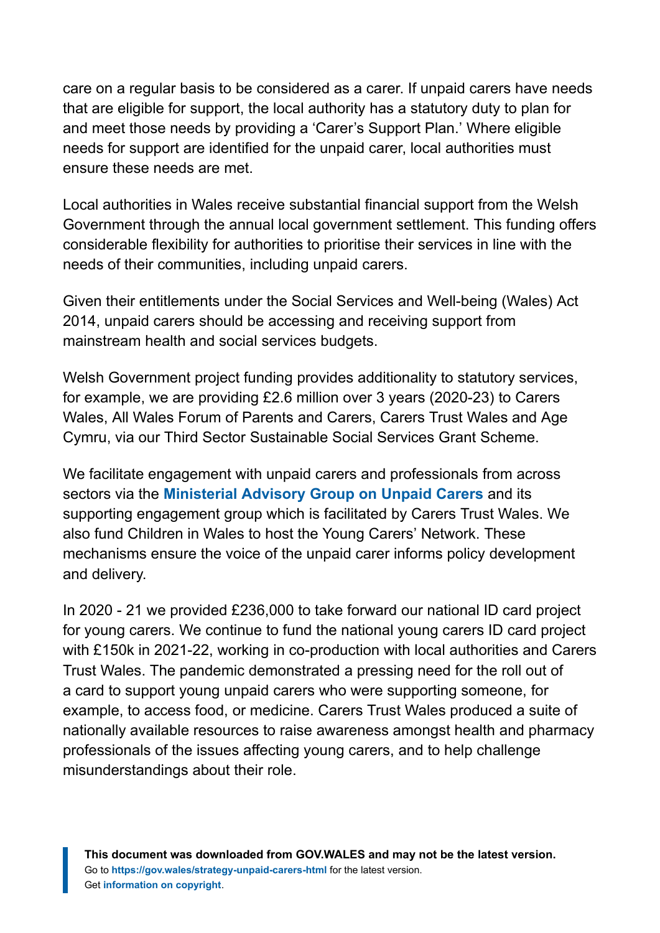care on a regular basis to be considered as a carer. If unpaid carers have needs that are eligible for support, the local authority has a statutory duty to plan for and meet those needs by providing a 'Carer's Support Plan.' Where eligible needs for support are identified for the unpaid carer, local authorities must ensure these needs are met.

Local authorities in Wales receive substantial financial support from the Welsh Government through the annual local government settlement. This funding offers considerable flexibility for authorities to prioritise their services in line with the needs of their communities, including unpaid carers.

Given their entitlements under the Social Services and Well-being (Wales) Act 2014, unpaid carers should be accessing and receiving support from mainstream health and social services budgets.

Welsh Government project funding provides additionality to statutory services, for example, we are providing £2.6 million over 3 years (2020-23) to Carers Wales, All Wales Forum of Parents and Carers, Carers Trust Wales and Age Cymru, via our Third Sector Sustainable Social Services Grant Scheme.

We facilitate engagement with unpaid carers and professionals from across sectors via the **[Ministerial Advisory Group on Unpaid Carers](https://gov.wales/ministerial-advisory-group-carers)** and its supporting engagement group which is facilitated by Carers Trust Wales. We also fund Children in Wales to host the Young Carers' Network. These mechanisms ensure the voice of the unpaid carer informs policy development and delivery.

In 2020 - 21 we provided £236,000 to take forward our national ID card project for young carers. We continue to fund the national young carers ID card project with £150k in 2021-22, working in co-production with local authorities and Carers Trust Wales. The pandemic demonstrated a pressing need for the roll out of a card to support young unpaid carers who were supporting someone, for example, to access food, or medicine. Carers Trust Wales produced a suite of nationally available resources to raise awareness amongst health and pharmacy professionals of the issues affecting young carers, and to help challenge misunderstandings about their role.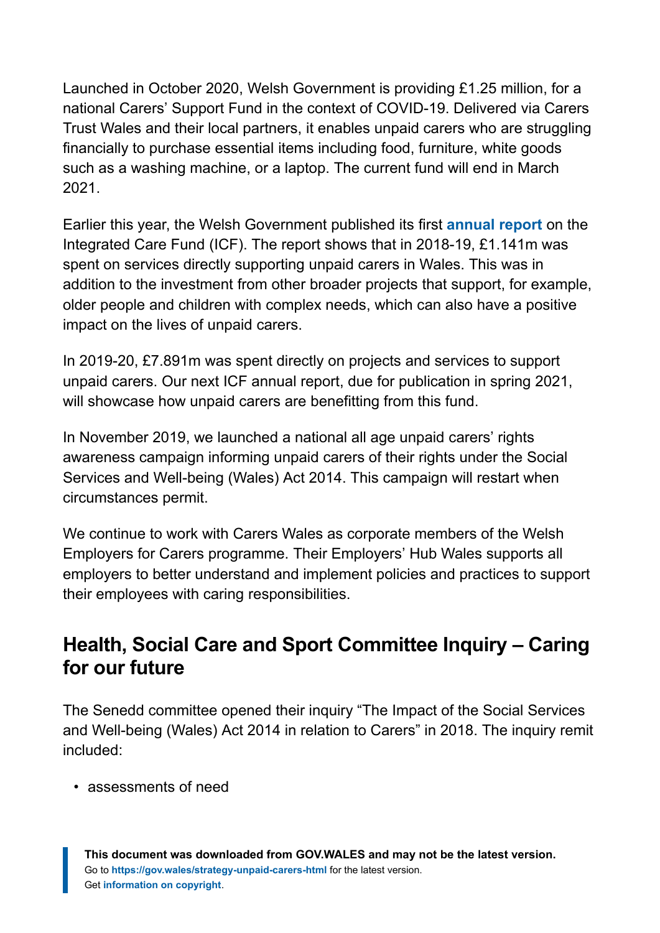Launched in October 2020, Welsh Government is providing £1.25 million, for a national Carers' Support Fund in the context of COVID-19. Delivered via Carers Trust Wales and their local partners, it enables unpaid carers who are struggling financially to purchase essential items including food, furniture, white goods such as a washing machine, or a laptop. The current fund will end in March 2021.

Earlier this year, the Welsh Government published its first **[annual report](https://gov.wales/wales-integrated-care-fund-icf-annual-report-2018-2019)** on the Integrated Care Fund (ICF). The report shows that in 2018-19, £1.141m was spent on services directly supporting unpaid carers in Wales. This was in addition to the investment from other broader projects that support, for example, older people and children with complex needs, which can also have a positive impact on the lives of unpaid carers.

In 2019-20, £7.891m was spent directly on projects and services to support unpaid carers. Our next ICF annual report, due for publication in spring 2021, will showcase how unpaid carers are benefitting from this fund.

In November 2019, we launched a national all age unpaid carers' rights awareness campaign informing unpaid carers of their rights under the Social Services and Well-being (Wales) Act 2014. This campaign will restart when circumstances permit.

We continue to work with Carers Wales as corporate members of the Welsh Employers for Carers programme. Their Employers' Hub Wales supports all employers to better understand and implement policies and practices to support their employees with caring responsibilities.

### **Health, Social Care and Sport Committee Inquiry – Caring for our future**

The Senedd committee opened their inquiry "The Impact of the Social Services and Well-being (Wales) Act 2014 in relation to Carers" in 2018. The inquiry remit included:

• assessments of need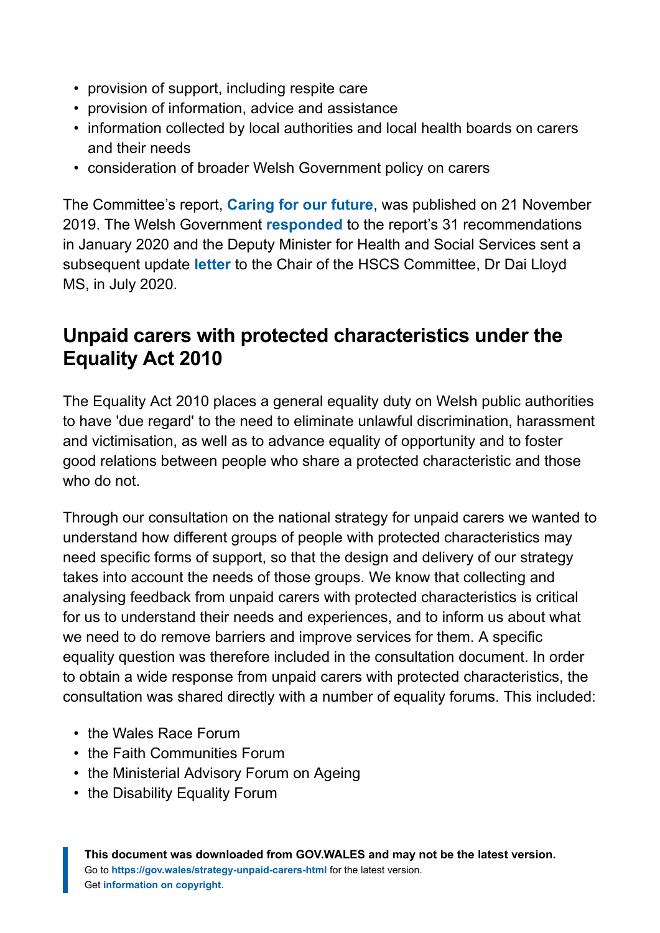- provision of support, including respite care
- provision of information, advice and assistance
- information collected by local authorities and local health boards on carers and their needs
- consideration of broader Welsh Government policy on carers

The Committee's report, **[Caring for our future](https://business.senedd.wales/mgIssueHistoryHome.aspx?IId=022518)**, was published on 21 November 2019. The Welsh Government **[responded](https://business.senedd.wales/documents/s98194/Welsh%20Government%20response%20-%2028%20January%202020.pdf)** to the report's 31 recommendations in January 2020 and the Deputy Minister for Health and Social Services sent a subsequent update **[letter](https://business.senedd.wales/documents/s105366/Letter%20from%20the%20Deputy%20Minister%20for%20Health%20and%20Social%20Services%20-%2014%20July%202020.pdf)** to the Chair of the HSCS Committee, Dr Dai Lloyd MS, in July 2020.

### **Unpaid carers with protected characteristics under the Equality Act 2010**

The Equality Act 2010 places a general equality duty on Welsh public authorities to have 'due regard' to the need to eliminate unlawful discrimination, harassment and victimisation, as well as to advance equality of opportunity and to foster good relations between people who share a protected characteristic and those who do not.

Through our consultation on the national strategy for unpaid carers we wanted to understand how different groups of people with protected characteristics may need specific forms of support, so that the design and delivery of our strategy takes into account the needs of those groups. We know that collecting and analysing feedback from unpaid carers with protected characteristics is critical for us to understand their needs and experiences, and to inform us about what we need to do remove barriers and improve services for them. A specific equality question was therefore included in the consultation document. In order to obtain a wide response from unpaid carers with protected characteristics, the consultation was shared directly with a number of equality forums. This included:

- the Wales Race Forum
- the Faith Communities Forum
- the Ministerial Advisory Forum on Ageing
- the Disability Equality Forum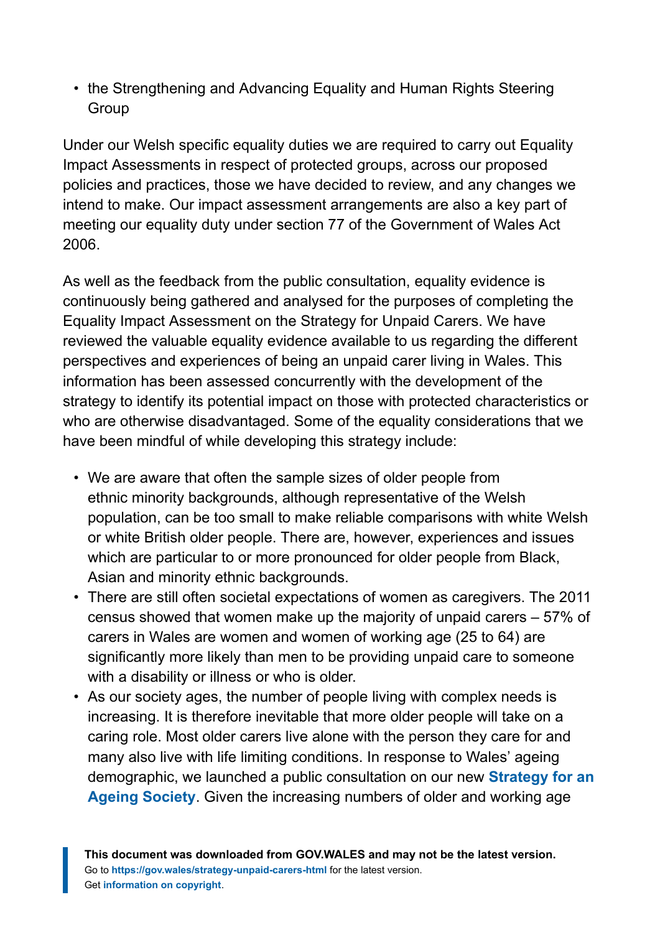• the Strengthening and Advancing Equality and Human Rights Steering **Group** 

Under our Welsh specific equality duties we are required to carry out Equality Impact Assessments in respect of protected groups, across our proposed policies and practices, those we have decided to review, and any changes we intend to make. Our impact assessment arrangements are also a key part of meeting our equality duty under section 77 of the Government of Wales Act 2006.

As well as the feedback from the public consultation, equality evidence is continuously being gathered and analysed for the purposes of completing the Equality Impact Assessment on the Strategy for Unpaid Carers. We have reviewed the valuable equality evidence available to us regarding the different perspectives and experiences of being an unpaid carer living in Wales. This information has been assessed concurrently with the development of the strategy to identify its potential impact on those with protected characteristics or who are otherwise disadvantaged. Some of the equality considerations that we have been mindful of while developing this strategy include:

- We are aware that often the sample sizes of older people from ethnic minority backgrounds, although representative of the Welsh population, can be too small to make reliable comparisons with white Welsh or white British older people. There are, however, experiences and issues which are particular to or more pronounced for older people from Black, Asian and minority ethnic backgrounds.
- There are still often societal expectations of women as caregivers. The 2011 census showed that women make up the majority of unpaid carers – 57% of carers in Wales are women and women of working age (25 to 64) are significantly more likely than men to be providing unpaid care to someone with a disability or illness or who is older.
- As our society ages, the number of people living with complex needs is increasing. It is therefore inevitable that more older people will take on a caring role. Most older carers live alone with the person they care for and many also live with life limiting conditions. In response to Wales' ageing demographic, we launched a public consultation on our new **[Strategy for an](https://gov.wales/strategy-ageing-society-age-friendly-wales) [Ageing Society](https://gov.wales/strategy-ageing-society-age-friendly-wales)**. Given the increasing numbers of older and working age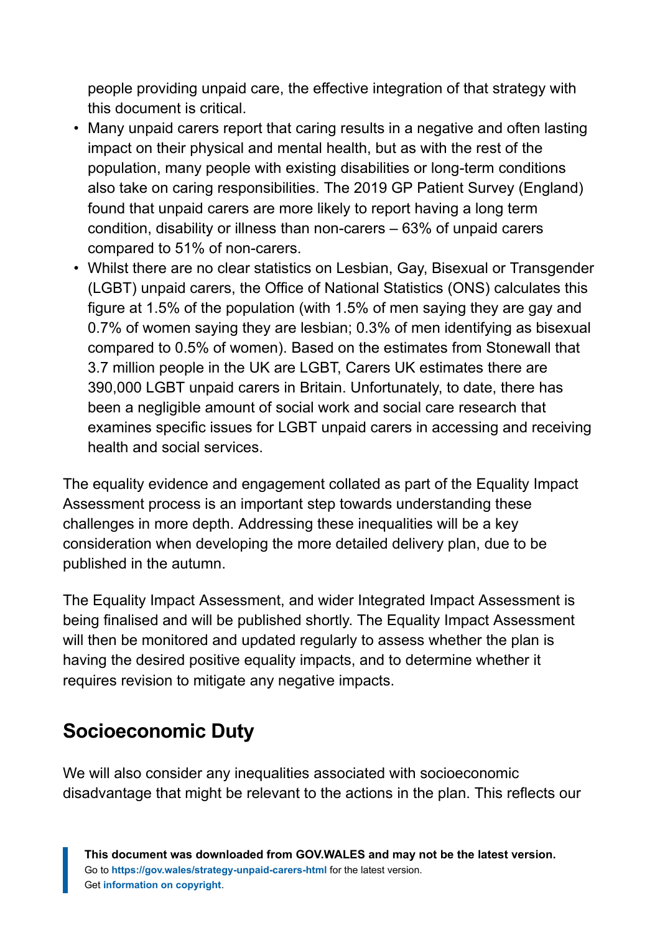people providing unpaid care, the effective integration of that strategy with this document is critical.

- Many unpaid carers report that caring results in a negative and often lasting impact on their physical and mental health, but as with the rest of the population, many people with existing disabilities or long-term conditions also take on caring responsibilities. The 2019 GP Patient Survey (England) found that unpaid carers are more likely to report having a long term condition, disability or illness than non-carers – 63% of unpaid carers compared to 51% of non-carers.
- Whilst there are no clear statistics on Lesbian, Gay, Bisexual or Transgender (LGBT) unpaid carers, the Office of National Statistics (ONS) calculates this figure at 1.5% of the population (with 1.5% of men saying they are gay and 0.7% of women saying they are lesbian; 0.3% of men identifying as bisexual compared to 0.5% of women). Based on the estimates from Stonewall that 3.7 million people in the UK are LGBT, Carers UK estimates there are 390,000 LGBT unpaid carers in Britain. Unfortunately, to date, there has been a negligible amount of social work and social care research that examines specific issues for LGBT unpaid carers in accessing and receiving health and social services.

The equality evidence and engagement collated as part of the Equality Impact Assessment process is an important step towards understanding these challenges in more depth. Addressing these inequalities will be a key consideration when developing the more detailed delivery plan, due to be published in the autumn.

The Equality Impact Assessment, and wider Integrated Impact Assessment is being finalised and will be published shortly. The Equality Impact Assessment will then be monitored and updated regularly to assess whether the plan is having the desired positive equality impacts, and to determine whether it requires revision to mitigate any negative impacts.

### **Socioeconomic Duty**

We will also consider any inequalities associated with socioeconomic disadvantage that might be relevant to the actions in the plan. This reflects our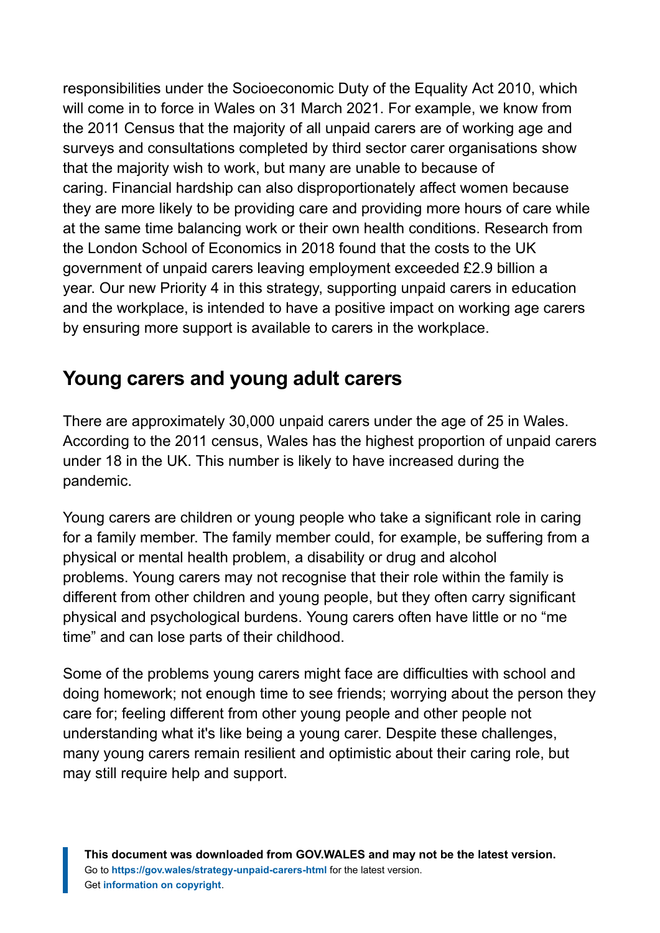responsibilities under the Socioeconomic Duty of the Equality Act 2010, which will come in to force in Wales on 31 March 2021. For example, we know from the 2011 Census that the majority of all unpaid carers are of working age and surveys and consultations completed by third sector carer organisations show that the majority wish to work, but many are unable to because of caring. Financial hardship can also disproportionately affect women because they are more likely to be providing care and providing more hours of care while at the same time balancing work or their own health conditions. Research from the London School of Economics in 2018 found that the costs to the UK government of unpaid carers leaving employment exceeded £2.9 billion a year. Our new Priority 4 in this strategy, supporting unpaid carers in education and the workplace, is intended to have a positive impact on working age carers by ensuring more support is available to carers in the workplace.

### **Young carers and young adult carers**

There are approximately 30,000 unpaid carers under the age of 25 in Wales. According to the 2011 census, Wales has the highest proportion of unpaid carers under 18 in the UK. This number is likely to have increased during the pandemic.

Young carers are children or young people who take a significant role in caring for a family member. The family member could, for example, be suffering from a physical or mental health problem, a disability or drug and alcohol problems. Young carers may not recognise that their role within the family is different from other children and young people, but they often carry significant physical and psychological burdens. Young carers often have little or no "me time" and can lose parts of their childhood.

Some of the problems young carers might face are difficulties with school and doing homework; not enough time to see friends; worrying about the person they care for; feeling different from other young people and other people not understanding what it's like being a young carer. Despite these challenges, many young carers remain resilient and optimistic about their caring role, but may still require help and support.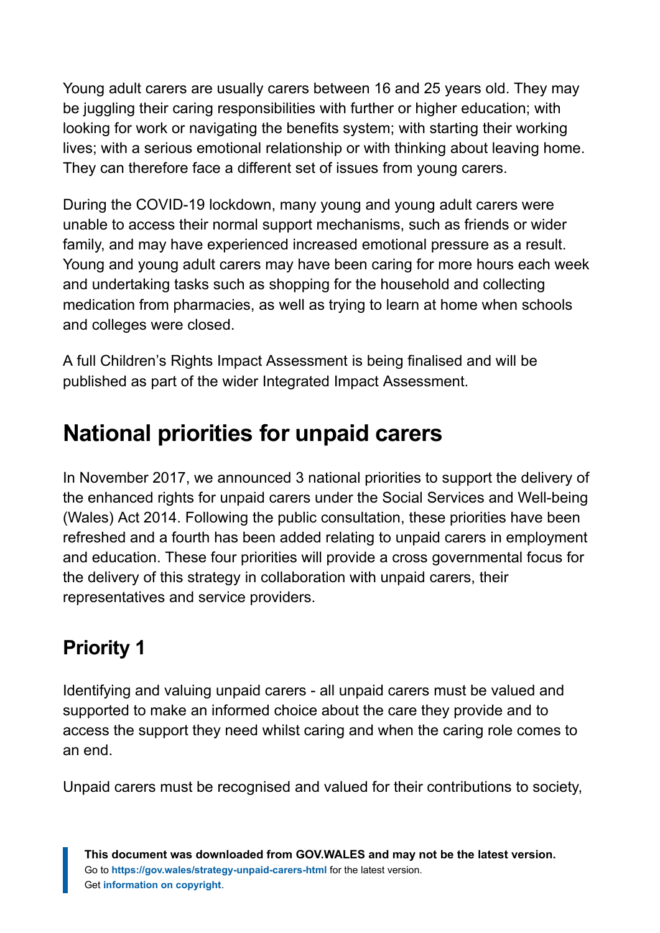Young adult carers are usually carers between 16 and 25 years old. They may be juggling their caring responsibilities with further or higher education; with looking for work or navigating the benefits system; with starting their working lives; with a serious emotional relationship or with thinking about leaving home. They can therefore face a different set of issues from young carers.

During the COVID-19 lockdown, many young and young adult carers were unable to access their normal support mechanisms, such as friends or wider family, and may have experienced increased emotional pressure as a result. Young and young adult carers may have been caring for more hours each week and undertaking tasks such as shopping for the household and collecting medication from pharmacies, as well as trying to learn at home when schools and colleges were closed.

A full Children's Rights Impact Assessment is being finalised and will be published as part of the wider Integrated Impact Assessment.

# <span id="page-12-0"></span>**National priorities for unpaid carers**

In November 2017, we announced 3 national priorities to support the delivery of the enhanced rights for unpaid carers under the Social Services and Well-being (Wales) Act 2014. Following the public consultation, these priorities have been refreshed and a fourth has been added relating to unpaid carers in employment and education. These four priorities will provide a cross governmental focus for the delivery of this strategy in collaboration with unpaid carers, their representatives and service providers.

# **Priority 1**

Identifying and valuing unpaid carers - all unpaid carers must be valued and supported to make an informed choice about the care they provide and to access the support they need whilst caring and when the caring role comes to an end.

Unpaid carers must be recognised and valued for their contributions to society,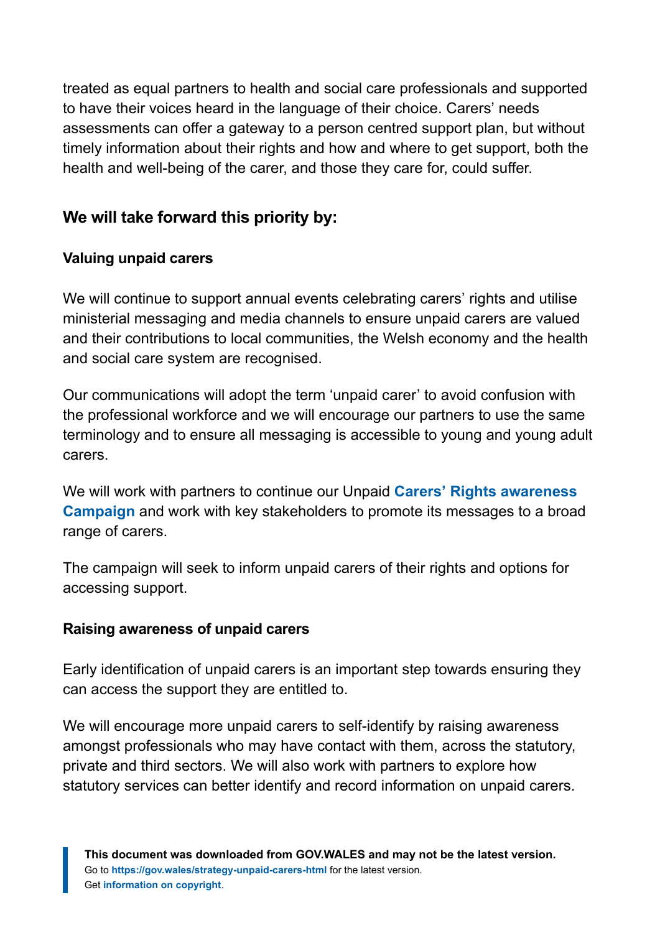treated as equal partners to health and social care professionals and supported to have their voices heard in the language of their choice. Carers' needs assessments can offer a gateway to a person centred support plan, but without timely information about their rights and how and where to get support, both the health and well-being of the carer, and those they care for, could suffer.

#### **We will take forward this priority by:**

#### **Valuing unpaid carers**

We will continue to support annual events celebrating carers' rights and utilise ministerial messaging and media channels to ensure unpaid carers are valued and their contributions to local communities, the Welsh economy and the health and social care system are recognised.

Our communications will adopt the term 'unpaid carer' to avoid confusion with the professional workforce and we will encourage our partners to use the same terminology and to ensure all messaging is accessible to young and young adult carers.

We will work with partners to continue our Unpaid **[Carers' Rights awareness](https://gov.wales/law-care-and-support-carers-rights) [Campaign](https://gov.wales/law-care-and-support-carers-rights)** and work with key stakeholders to promote its messages to a broad range of carers.

The campaign will seek to inform unpaid carers of their rights and options for accessing support.

#### **Raising awareness of unpaid carers**

Early identification of unpaid carers is an important step towards ensuring they can access the support they are entitled to.

We will encourage more unpaid carers to self-identify by raising awareness amongst professionals who may have contact with them, across the statutory, private and third sectors. We will also work with partners to explore how statutory services can better identify and record information on unpaid carers.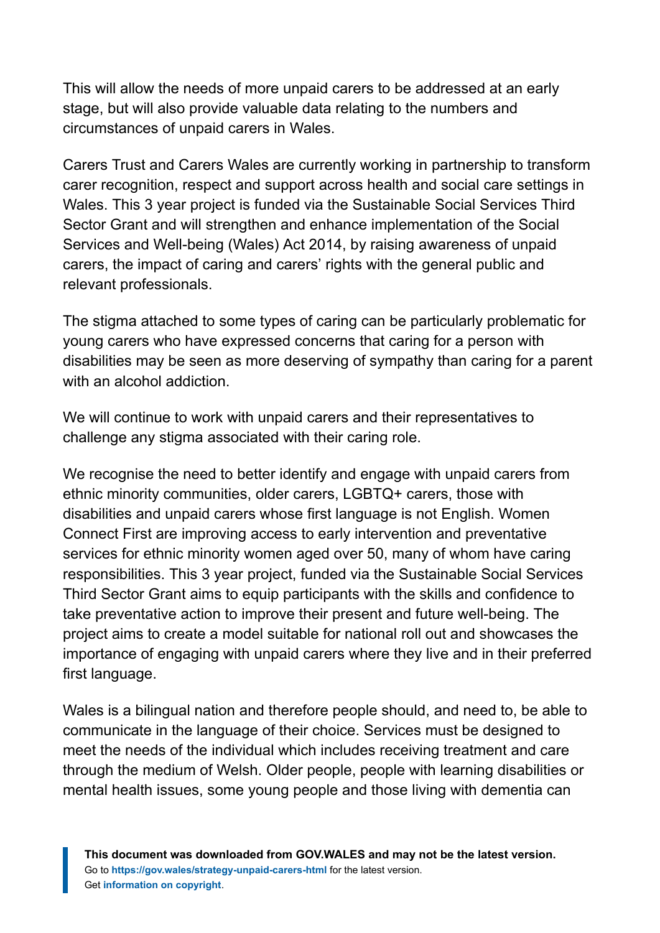This will allow the needs of more unpaid carers to be addressed at an early stage, but will also provide valuable data relating to the numbers and circumstances of unpaid carers in Wales.

Carers Trust and Carers Wales are currently working in partnership to transform carer recognition, respect and support across health and social care settings in Wales. This 3 year project is funded via the Sustainable Social Services Third Sector Grant and will strengthen and enhance implementation of the Social Services and Well-being (Wales) Act 2014, by raising awareness of unpaid carers, the impact of caring and carers' rights with the general public and relevant professionals.

The stigma attached to some types of caring can be particularly problematic for young carers who have expressed concerns that caring for a person with disabilities may be seen as more deserving of sympathy than caring for a parent with an alcohol addiction.

We will continue to work with unpaid carers and their representatives to challenge any stigma associated with their caring role.

We recognise the need to better identify and engage with unpaid carers from ethnic minority communities, older carers, LGBTQ+ carers, those with disabilities and unpaid carers whose first language is not English. Women Connect First are improving access to early intervention and preventative services for ethnic minority women aged over 50, many of whom have caring responsibilities. This 3 year project, funded via the Sustainable Social Services Third Sector Grant aims to equip participants with the skills and confidence to take preventative action to improve their present and future well-being. The project aims to create a model suitable for national roll out and showcases the importance of engaging with unpaid carers where they live and in their preferred first language.

Wales is a bilingual nation and therefore people should, and need to, be able to communicate in the language of their choice. Services must be designed to meet the needs of the individual which includes receiving treatment and care through the medium of Welsh. Older people, people with learning disabilities or mental health issues, some young people and those living with dementia can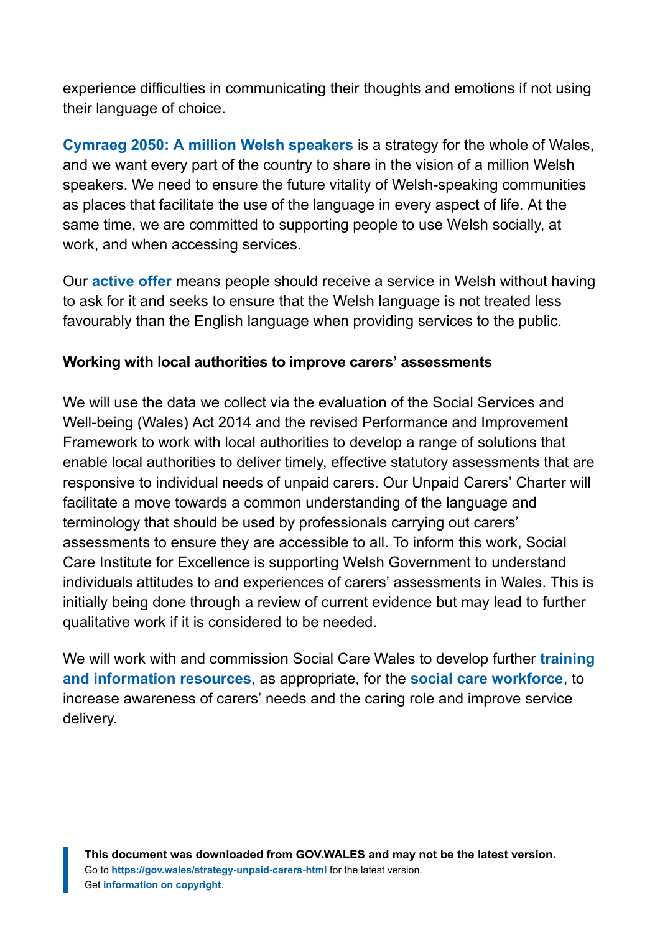experience difficulties in communicating their thoughts and emotions if not using their language of choice.

**[Cymraeg 2050: A million Welsh speakers](https://gov.wales/cymraeg-2050-welsh-language-strategy-action-plan-2019-2020)** is a strategy for the whole of Wales, and we want every part of the country to share in the vision of a million Welsh speakers. We need to ensure the future vitality of Welsh-speaking communities as places that facilitate the use of the language in every aspect of life. At the same time, we are committed to supporting people to use Welsh socially, at work, and when accessing services.

Our **[active offer](https://gov.wales/sites/default/files/publications/2019-04/delivering-the-active-offer-information-pack-social-services-and-social-care.pdf)** means people should receive a service in Welsh without having to ask for it and seeks to ensure that the Welsh language is not treated less favourably than the English language when providing services to the public.

#### **Working with local authorities to improve carers' assessments**

We will use the data we collect via the evaluation of the Social Services and Well-being (Wales) Act 2014 and the revised Performance and Improvement Framework to work with local authorities to develop a range of solutions that enable local authorities to deliver timely, effective statutory assessments that are responsive to individual needs of unpaid carers. Our Unpaid Carers' Charter will facilitate a move towards a common understanding of the language and terminology that should be used by professionals carrying out carers' assessments to ensure they are accessible to all. To inform this work, Social Care Institute for Excellence is supporting Welsh Government to understand individuals attitudes to and experiences of carers' assessments in Wales. This is initially being done through a review of current evidence but may lead to further qualitative work if it is considered to be needed.

We will work with and commission Social Care Wales to develop further **[training](https://socialcare.wales/service-improvement/working-with-carers) [and information resources](https://socialcare.wales/service-improvement/working-with-carers)**, as appropriate, for the **[social care workforce](https://socialcare.wales/service-improvement/working-with-carers)**, to increase awareness of carers' needs and the caring role and improve service delivery.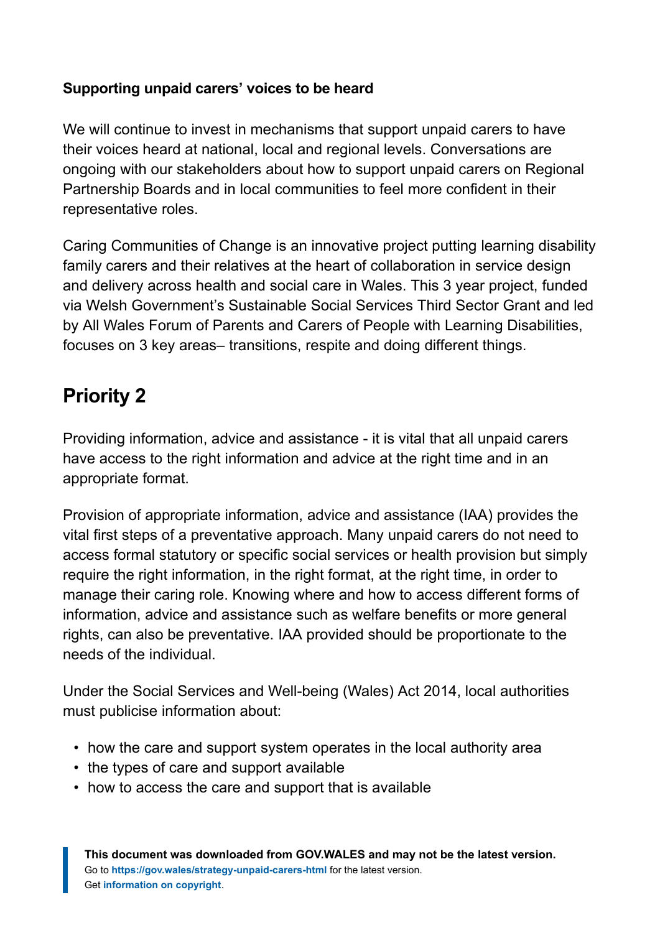#### **Supporting unpaid carers' voices to be heard**

We will continue to invest in mechanisms that support unpaid carers to have their voices heard at national, local and regional levels. Conversations are ongoing with our stakeholders about how to support unpaid carers on Regional Partnership Boards and in local communities to feel more confident in their representative roles.

Caring Communities of Change is an innovative project putting learning disability family carers and their relatives at the heart of collaboration in service design and delivery across health and social care in Wales. This 3 year project, funded via Welsh Government's Sustainable Social Services Third Sector Grant and led by All Wales Forum of Parents and Carers of People with Learning Disabilities, focuses on 3 key areas– transitions, respite and doing different things.

## **Priority 2**

Providing information, advice and assistance - it is vital that all unpaid carers have access to the right information and advice at the right time and in an appropriate format.

Provision of appropriate information, advice and assistance (IAA) provides the vital first steps of a preventative approach. Many unpaid carers do not need to access formal statutory or specific social services or health provision but simply require the right information, in the right format, at the right time, in order to manage their caring role. Knowing where and how to access different forms of information, advice and assistance such as welfare benefits or more general rights, can also be preventative. IAA provided should be proportionate to the needs of the individual.

Under the Social Services and Well-being (Wales) Act 2014, local authorities must publicise information about:

- how the care and support system operates in the local authority area
- the types of care and support available
- how to access the care and support that is available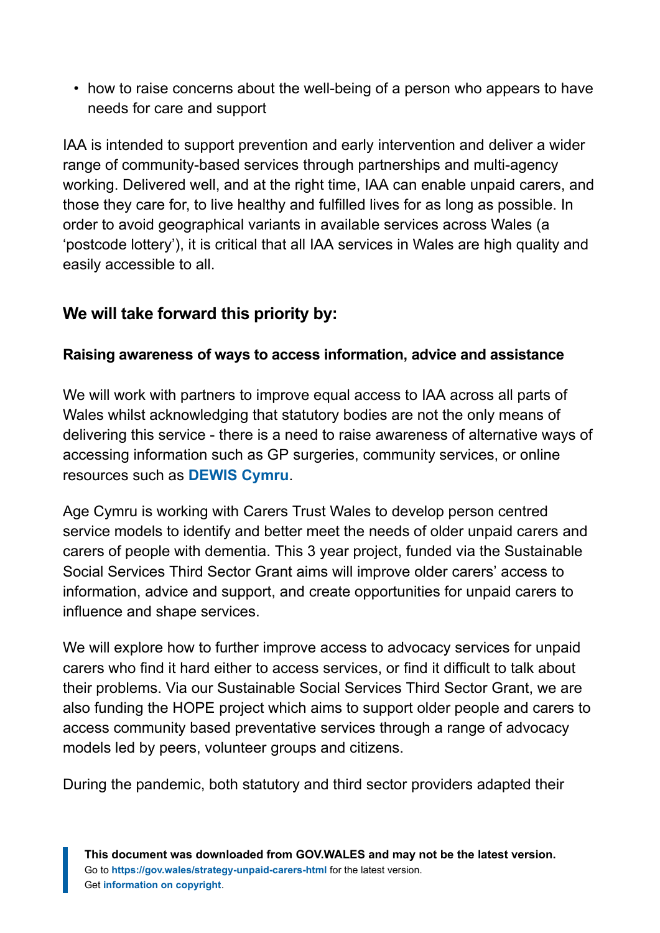• how to raise concerns about the well-being of a person who appears to have needs for care and support

IAA is intended to support prevention and early intervention and deliver a wider range of community-based services through partnerships and multi-agency working. Delivered well, and at the right time, IAA can enable unpaid carers, and those they care for, to live healthy and fulfilled lives for as long as possible. In order to avoid geographical variants in available services across Wales (a 'postcode lottery'), it is critical that all IAA services in Wales are high quality and easily accessible to all.

#### **We will take forward this priority by:**

#### **Raising awareness of ways to access information, advice and assistance**

We will work with partners to improve equal access to IAA across all parts of Wales whilst acknowledging that statutory bodies are not the only means of delivering this service - there is a need to raise awareness of alternative ways of accessing information such as GP surgeries, community services, or online resources such as **[DEWIS Cymru](https://www.dewis.wales/)**.

Age Cymru is working with Carers Trust Wales to develop person centred service models to identify and better meet the needs of older unpaid carers and carers of people with dementia. This 3 year project, funded via the Sustainable Social Services Third Sector Grant aims will improve older carers' access to information, advice and support, and create opportunities for unpaid carers to influence and shape services.

We will explore how to further improve access to advocacy services for unpaid carers who find it hard either to access services, or find it difficult to talk about their problems. Via our Sustainable Social Services Third Sector Grant, we are also funding the HOPE project which aims to support older people and carers to access community based preventative services through a range of advocacy models led by peers, volunteer groups and citizens.

During the pandemic, both statutory and third sector providers adapted their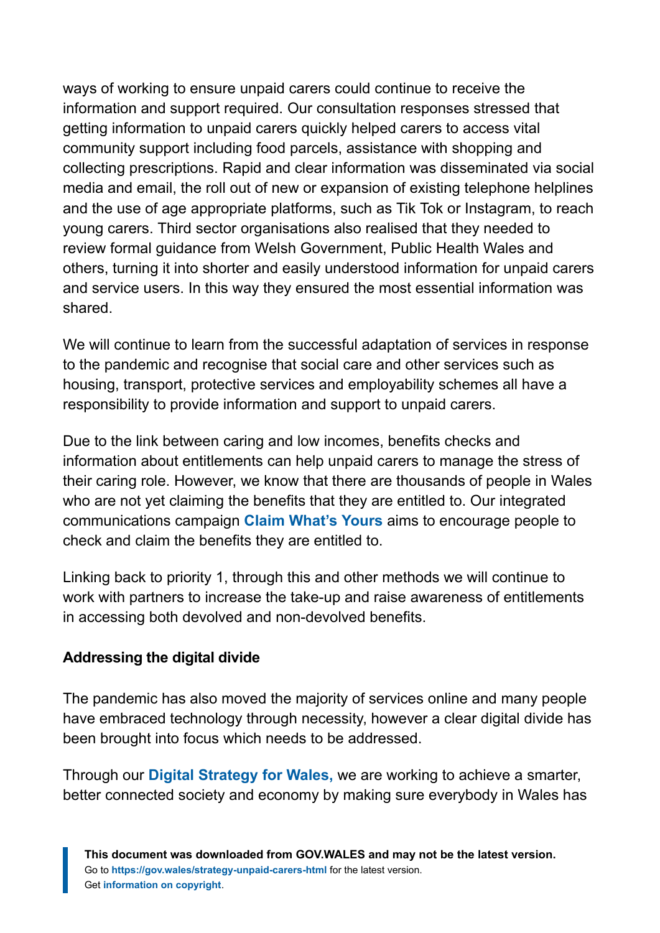ways of working to ensure unpaid carers could continue to receive the information and support required. Our consultation responses stressed that getting information to unpaid carers quickly helped carers to access vital community support including food parcels, assistance with shopping and collecting prescriptions. Rapid and clear information was disseminated via social media and email, the roll out of new or expansion of existing telephone helplines and the use of age appropriate platforms, such as Tik Tok or Instagram, to reach young carers. Third sector organisations also realised that they needed to review formal guidance from Welsh Government, Public Health Wales and others, turning it into shorter and easily understood information for unpaid carers and service users. In this way they ensured the most essential information was shared.

We will continue to learn from the successful adaptation of services in response to the pandemic and recognise that social care and other services such as housing, transport, protective services and employability schemes all have a responsibility to provide information and support to unpaid carers.

Due to the link between caring and low incomes, benefits checks and information about entitlements can help unpaid carers to manage the stress of their caring role. However, we know that there are thousands of people in Wales who are not yet claiming the benefits that they are entitled to. Our integrated communications campaign **[Claim What's Yours](https://gov.wales/claim-whats-yours)** aims to encourage people to check and claim the benefits they are entitled to.

Linking back to priority 1, through this and other methods we will continue to work with partners to increase the take-up and raise awareness of entitlements in accessing both devolved and non-devolved benefits.

#### **Addressing the digital divide**

The pandemic has also moved the majority of services online and many people have embraced technology through necessity, however a clear digital divide has been brought into focus which needs to be addressed.

Through our **[Digital Strategy for Wales,](https://gov.wales/people-encouraged-shape-new-digital-strategy-wales)** we are working to achieve a smarter, better connected society and economy by making sure everybody in Wales has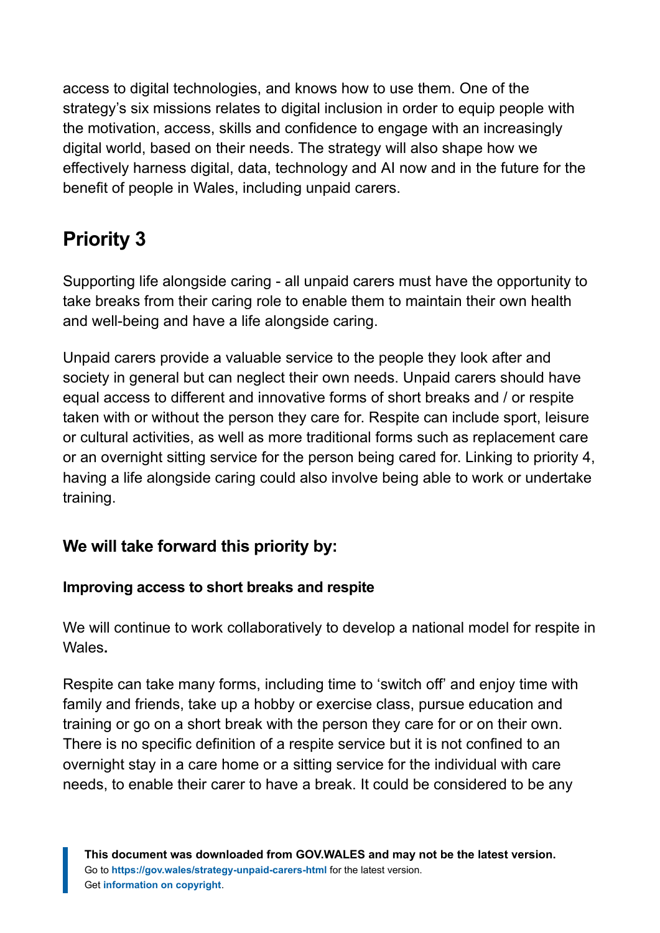access to digital technologies, and knows how to use them. One of the strategy's six missions relates to digital inclusion in order to equip people with the motivation, access, skills and confidence to engage with an increasingly digital world, based on their needs. The strategy will also shape how we effectively harness digital, data, technology and AI now and in the future for the benefit of people in Wales, including unpaid carers.

# **Priority 3**

Supporting life alongside caring - all unpaid carers must have the opportunity to take breaks from their caring role to enable them to maintain their own health and well-being and have a life alongside caring.

Unpaid carers provide a valuable service to the people they look after and society in general but can neglect their own needs. Unpaid carers should have equal access to different and innovative forms of short breaks and / or respite taken with or without the person they care for. Respite can include sport, leisure or cultural activities, as well as more traditional forms such as replacement care or an overnight sitting service for the person being cared for. Linking to priority 4, having a life alongside caring could also involve being able to work or undertake training.

#### **We will take forward this priority by:**

#### **Improving access to short breaks and respite**

We will continue to work collaboratively to develop a national model for respite in Wales**.**

Respite can take many forms, including time to 'switch off' and enjoy time with family and friends, take up a hobby or exercise class, pursue education and training or go on a short break with the person they care for or on their own. There is no specific definition of a respite service but it is not confined to an overnight stay in a care home or a sitting service for the individual with care needs, to enable their carer to have a break. It could be considered to be any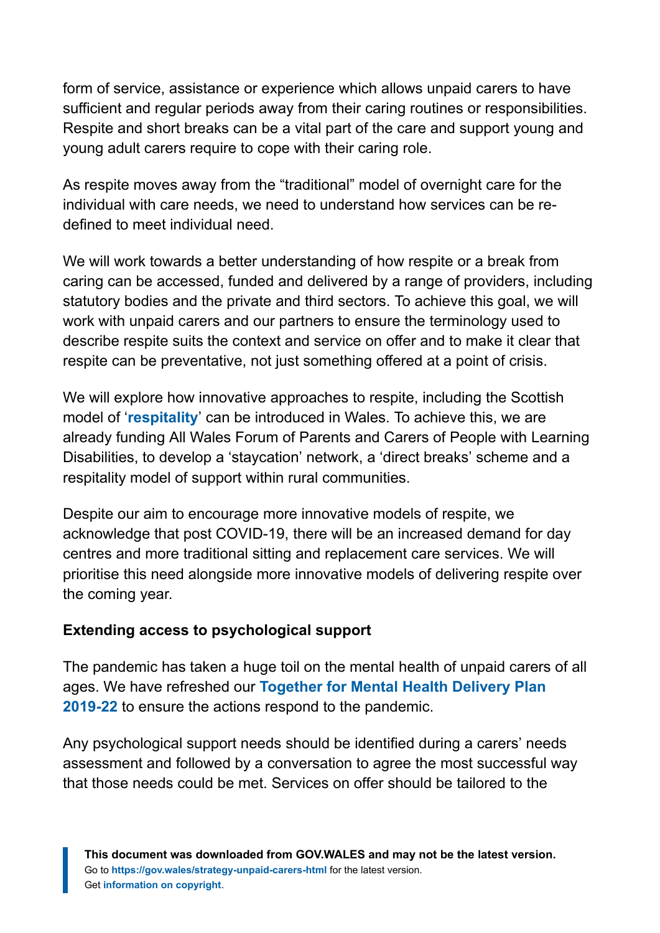form of service, assistance or experience which allows unpaid carers to have sufficient and regular periods away from their caring routines or responsibilities. Respite and short breaks can be a vital part of the care and support young and young adult carers require to cope with their caring role.

As respite moves away from the "traditional" model of overnight care for the individual with care needs, we need to understand how services can be redefined to meet individual need.

We will work towards a better understanding of how respite or a break from caring can be accessed, funded and delivered by a range of providers, including statutory bodies and the private and third sectors. To achieve this goal, we will work with unpaid carers and our partners to ensure the terminology used to describe respite suits the context and service on offer and to make it clear that respite can be preventative, not just something offered at a point of crisis.

We will explore how innovative approaches to respite, including the Scottish model of '**[respitality](https://www.sharedcarescotland.org.uk/respitality/)**' can be introduced in Wales. To achieve this, we are already funding All Wales Forum of Parents and Carers of People with Learning Disabilities, to develop a 'staycation' network, a 'direct breaks' scheme and a respitality model of support within rural communities.

Despite our aim to encourage more innovative models of respite, we acknowledge that post COVID-19, there will be an increased demand for day centres and more traditional sitting and replacement care services. We will prioritise this need alongside more innovative models of delivering respite over the coming year.

#### **Extending access to psychological support**

The pandemic has taken a huge toil on the mental health of unpaid carers of all ages. We have refreshed our **[Together for Mental Health Delivery Plan](https://gov.wales/mental-health-delivery-plan-2019-to-2022) [2019-22](https://gov.wales/mental-health-delivery-plan-2019-to-2022)** to ensure the actions respond to the pandemic.

Any psychological support needs should be identified during a carers' needs assessment and followed by a conversation to agree the most successful way that those needs could be met. Services on offer should be tailored to the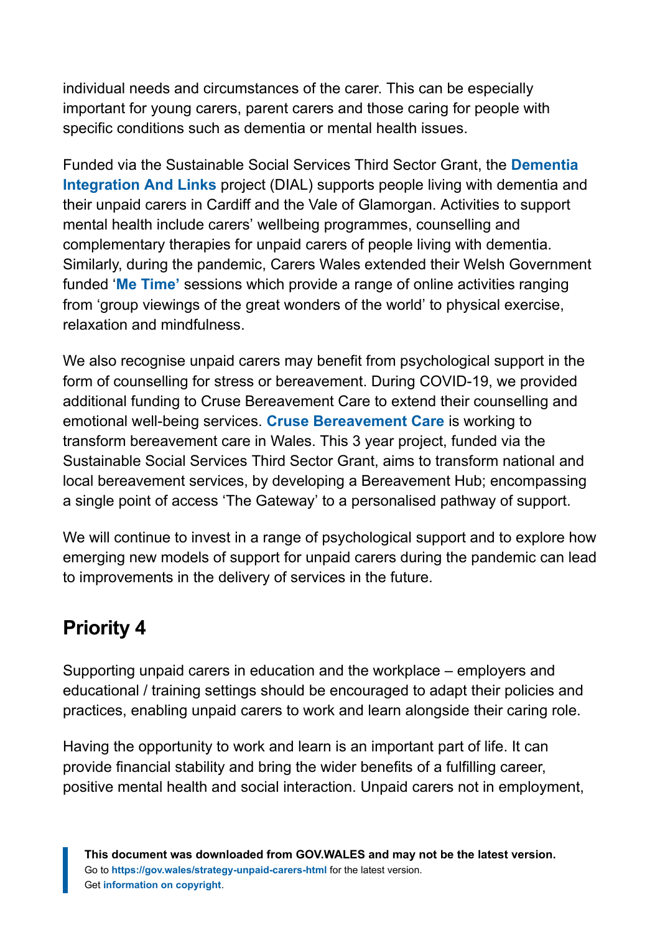individual needs and circumstances of the carer. This can be especially important for young carers, parent carers and those caring for people with specific conditions such as dementia or mental health issues.

Funded via the Sustainable Social Services Third Sector Grant, the **[Dementia](https://platfform.org/project/dementia-support/) [Integration And Links](https://platfform.org/project/dementia-support/)** project (DIAL) supports people living with dementia and their unpaid carers in Cardiff and the Vale of Glamorgan. Activities to support mental health include carers' wellbeing programmes, counselling and complementary therapies for unpaid carers of people living with dementia. Similarly, during the pandemic, Carers Wales extended their Welsh Government funded '**[Me Time'](https://www.carersuk.org/wales/help-and-advice/me-time)** sessions which provide a range of online activities ranging from 'group viewings of the great wonders of the world' to physical exercise, relaxation and mindfulness.

We also recognise unpaid carers may benefit from psychological support in the form of counselling for stress or bereavement. During COVID-19, we provided additional funding to Cruse Bereavement Care to extend their counselling and emotional well-being services. **[Cruse Bereavement Care](https://www.cruse.org.uk/get-help/local-services/wales/wales)** is working to transform bereavement care in Wales. This 3 year project, funded via the Sustainable Social Services Third Sector Grant, aims to transform national and local bereavement services, by developing a Bereavement Hub; encompassing a single point of access 'The Gateway' to a personalised pathway of support.

We will continue to invest in a range of psychological support and to explore how emerging new models of support for unpaid carers during the pandemic can lead to improvements in the delivery of services in the future.

## **Priority 4**

Supporting unpaid carers in education and the workplace – employers and educational / training settings should be encouraged to adapt their policies and practices, enabling unpaid carers to work and learn alongside their caring role.

Having the opportunity to work and learn is an important part of life. It can provide financial stability and bring the wider benefits of a fulfilling career, positive mental health and social interaction. Unpaid carers not in employment,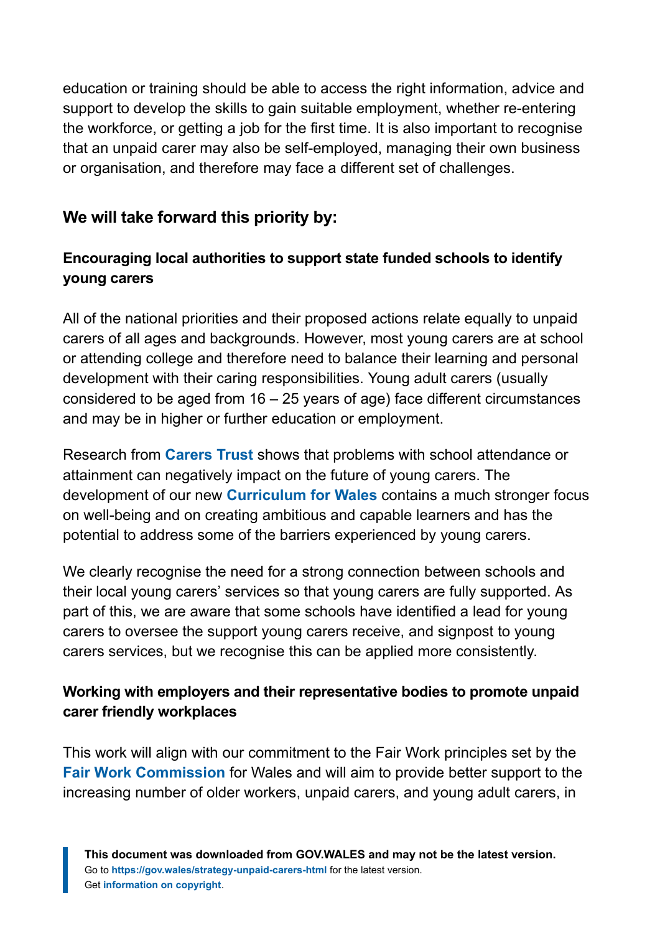education or training should be able to access the right information, advice and support to develop the skills to gain suitable employment, whether re-entering the workforce, or getting a job for the first time. It is also important to recognise that an unpaid carer may also be self-employed, managing their own business or organisation, and therefore may face a different set of challenges.

#### **We will take forward this priority by:**

#### **Encouraging local authorities to support state funded schools to identify young carers**

All of the national priorities and their proposed actions relate equally to unpaid carers of all ages and backgrounds. However, most young carers are at school or attending college and therefore need to balance their learning and personal development with their caring responsibilities. Young adult carers (usually considered to be aged from 16 – 25 years of age) face different circumstances and may be in higher or further education or employment.

Research from **[Carers Trust](https://carers.org/downloads/resources-pdfs/time-to-be-heard/time-to-be-heard-a-call-for-recognition-and-support-for-young-adult-carers.pdf)** shows that problems with school attendance or attainment can negatively impact on the future of young carers. The development of our new **[Curriculum for Wales](https://hwb.gov.wales/curriculum-for-wales)** contains a much stronger focus on well-being and on creating ambitious and capable learners and has the potential to address some of the barriers experienced by young carers.

We clearly recognise the need for a strong connection between schools and their local young carers' services so that young carers are fully supported. As part of this, we are aware that some schools have identified a lead for young carers to oversee the support young carers receive, and signpost to young carers services, but we recognise this can be applied more consistently.

#### **Working with employers and their representative bodies to promote unpaid carer friendly workplaces**

This work will align with our commitment to the Fair Work principles set by the **[Fair Work Commission](https://gov.wales/fair-work-wales)** for Wales and will aim to provide better support to the increasing number of older workers, unpaid carers, and young adult carers, in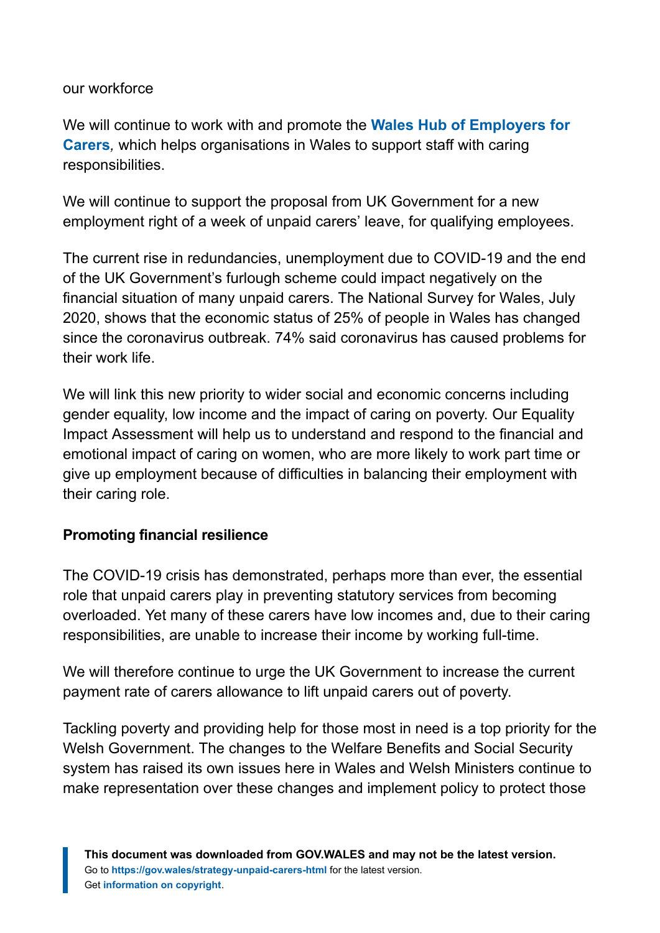our workforce

We will continue to work with and promote the **[Wales Hub of Employers for](https://www.employersforcarers.org/about-us/wales-hub) [Carers](https://www.employersforcarers.org/about-us/wales-hub)***,* which helps organisations in Wales to support staff with caring responsibilities.

We will continue to support the proposal from UK Government for a new employment right of a week of unpaid carers' leave, for qualifying employees.

The current rise in redundancies, unemployment due to COVID-19 and the end of the UK Government's furlough scheme could impact negatively on the financial situation of many unpaid carers. The National Survey for Wales, July 2020, shows that the economic status of 25% of people in Wales has changed since the coronavirus outbreak. 74% said coronavirus has caused problems for their work life.

We will link this new priority to wider social and economic concerns including gender equality, low income and the impact of caring on poverty. Our Equality Impact Assessment will help us to understand and respond to the financial and emotional impact of caring on women, who are more likely to work part time or give up employment because of difficulties in balancing their employment with their caring role.

#### **Promoting financial resilience**

The COVID-19 crisis has demonstrated, perhaps more than ever, the essential role that unpaid carers play in preventing statutory services from becoming overloaded. Yet many of these carers have low incomes and, due to their caring responsibilities, are unable to increase their income by working full-time.

We will therefore continue to urge the UK Government to increase the current payment rate of carers allowance to lift unpaid carers out of poverty.

Tackling poverty and providing help for those most in need is a top priority for the Welsh Government. The changes to the Welfare Benefits and Social Security system has raised its own issues here in Wales and Welsh Ministers continue to make representation over these changes and implement policy to protect those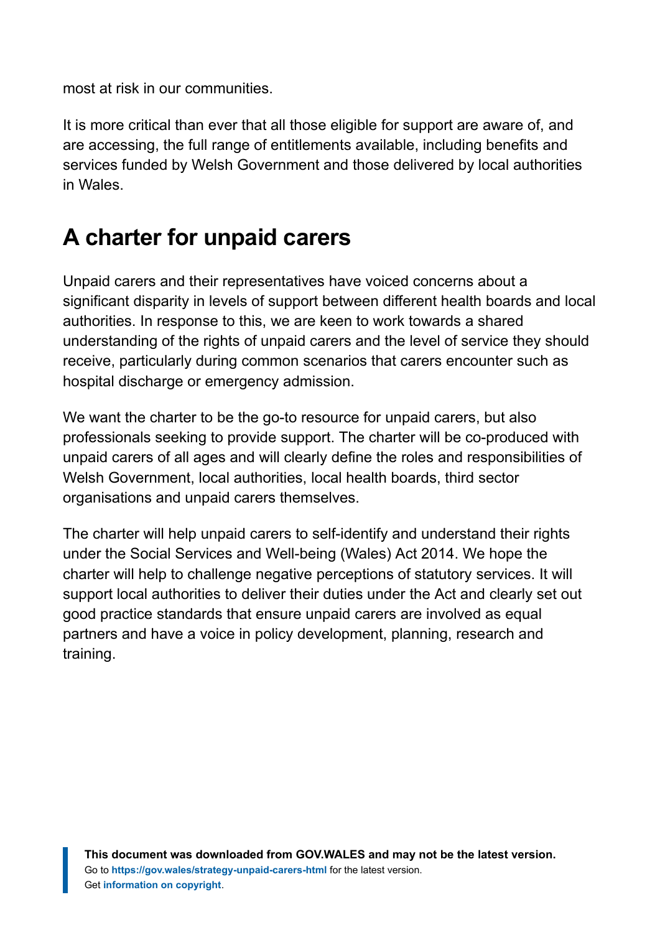most at risk in our communities.

It is more critical than ever that all those eligible for support are aware of, and are accessing, the full range of entitlements available, including benefits and services funded by Welsh Government and those delivered by local authorities in Wales.

# <span id="page-24-0"></span>**A charter for unpaid carers**

Unpaid carers and their representatives have voiced concerns about a significant disparity in levels of support between different health boards and local authorities. In response to this, we are keen to work towards a shared understanding of the rights of unpaid carers and the level of service they should receive, particularly during common scenarios that carers encounter such as hospital discharge or emergency admission.

We want the charter to be the go-to resource for unpaid carers, but also professionals seeking to provide support. The charter will be co-produced with unpaid carers of all ages and will clearly define the roles and responsibilities of Welsh Government, local authorities, local health boards, third sector organisations and unpaid carers themselves.

The charter will help unpaid carers to self-identify and understand their rights under the Social Services and Well-being (Wales) Act 2014. We hope the charter will help to challenge negative perceptions of statutory services. It will support local authorities to deliver their duties under the Act and clearly set out good practice standards that ensure unpaid carers are involved as equal partners and have a voice in policy development, planning, research and training.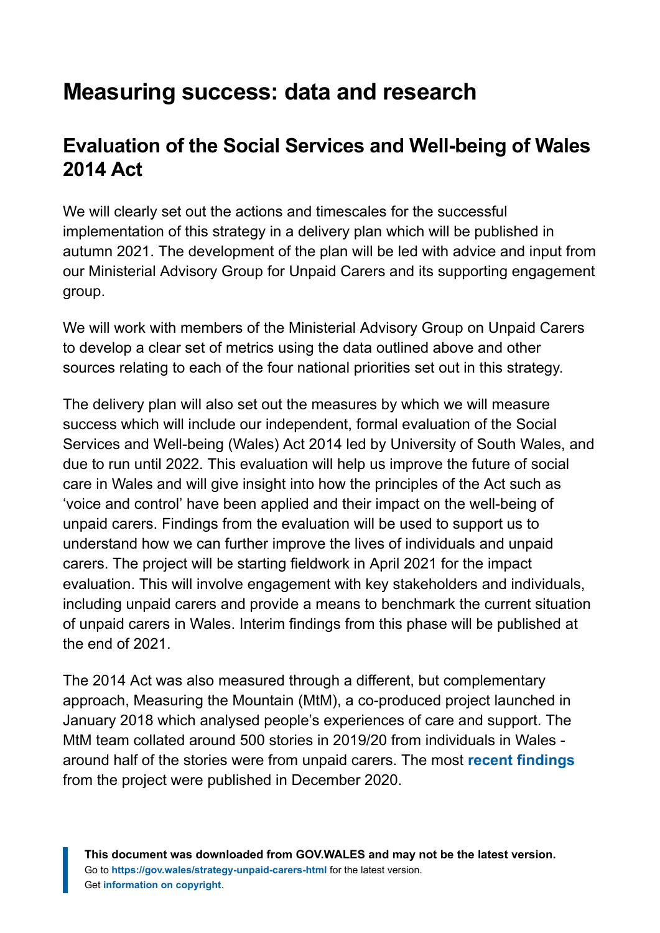# <span id="page-25-0"></span>**Measuring success: data and research**

### **Evaluation of the Social Services and Well-being of Wales 2014 Act**

We will clearly set out the actions and timescales for the successful implementation of this strategy in a delivery plan which will be published in autumn 2021. The development of the plan will be led with advice and input from our Ministerial Advisory Group for Unpaid Carers and its supporting engagement group.

We will work with members of the Ministerial Advisory Group on Unpaid Carers to develop a clear set of metrics using the data outlined above and other sources relating to each of the four national priorities set out in this strategy.

The delivery plan will also set out the measures by which we will measure success which will include our independent, formal evaluation of the Social Services and Well-being (Wales) Act 2014 led by University of South Wales, and due to run until 2022. This evaluation will help us improve the future of social care in Wales and will give insight into how the principles of the Act such as 'voice and control' have been applied and their impact on the well-being of unpaid carers. Findings from the evaluation will be used to support us to understand how we can further improve the lives of individuals and unpaid carers. The project will be starting fieldwork in April 2021 for the impact evaluation. This will involve engagement with key stakeholders and individuals, including unpaid carers and provide a means to benchmark the current situation of unpaid carers in Wales. Interim findings from this phase will be published at the end of 2021.

The 2014 Act was also measured through a different, but complementary approach, Measuring the Mountain (MtM), a co-produced project launched in January 2018 which analysed people's experiences of care and support. The MtM team collated around 500 stories in 2019/20 from individuals in Wales around half of the stories were from unpaid carers. The most **[recent findings](http://mtm.wales/resources)** from the project were published in December 2020.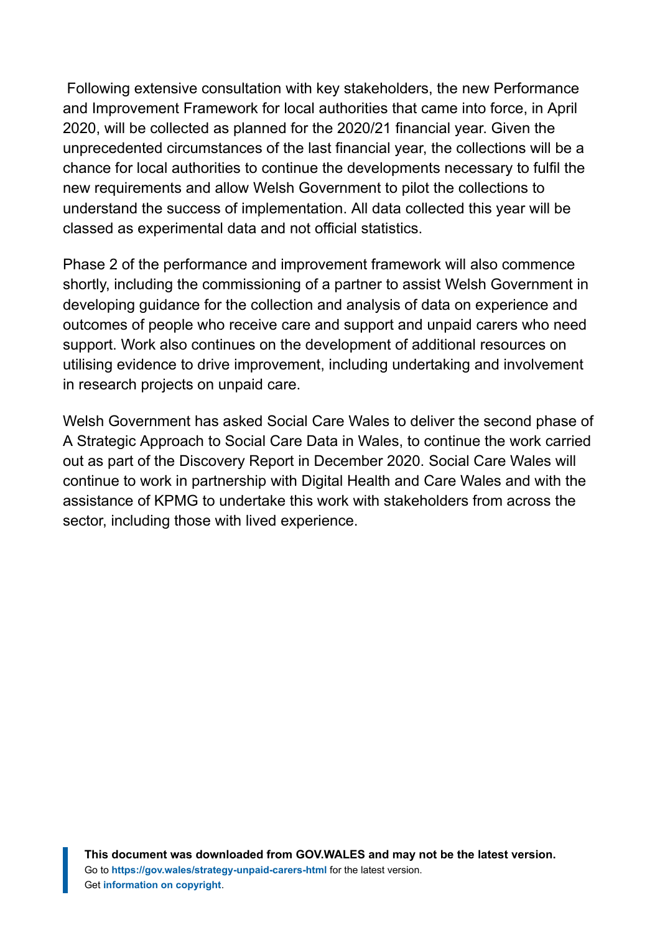Following extensive consultation with key stakeholders, the new Performance and Improvement Framework for local authorities that came into force, in April 2020, will be collected as planned for the 2020/21 financial year. Given the unprecedented circumstances of the last financial year, the collections will be a chance for local authorities to continue the developments necessary to fulfil the new requirements and allow Welsh Government to pilot the collections to understand the success of implementation. All data collected this year will be classed as experimental data and not official statistics.

Phase 2 of the performance and improvement framework will also commence shortly, including the commissioning of a partner to assist Welsh Government in developing guidance for the collection and analysis of data on experience and outcomes of people who receive care and support and unpaid carers who need support. Work also continues on the development of additional resources on utilising evidence to drive improvement, including undertaking and involvement in research projects on unpaid care.

Welsh Government has asked Social Care Wales to deliver the second phase of A Strategic Approach to Social Care Data in Wales, to continue the work carried out as part of the Discovery Report in December 2020. Social Care Wales will continue to work in partnership with Digital Health and Care Wales and with the assistance of KPMG to undertake this work with stakeholders from across the sector, including those with lived experience.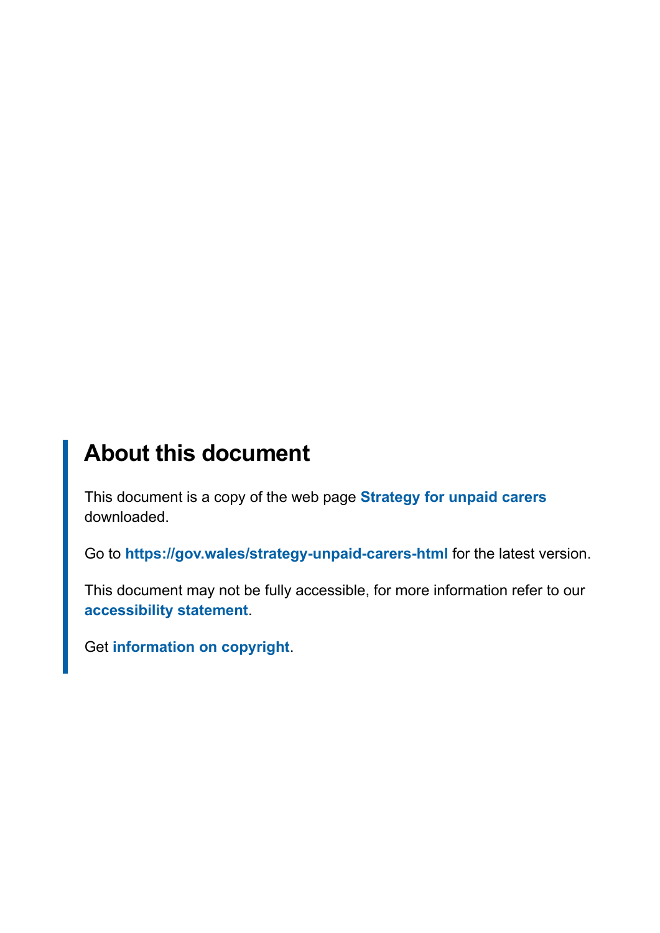# **About this document**

This document is a copy of the web page **[Strategy for unpaid carers](https://gov.wales/strategy-unpaid-carers-html)** downloaded.

Go to **<https://gov.wales/strategy-unpaid-carers-html>** for the latest version.

This document may not be fully accessible, for more information refer to our **[accessibility statement](https://gov.wales/accessibility-statement-govwales)**.

Get **[information on copyright](https://gov.wales/copyright-statement)**.